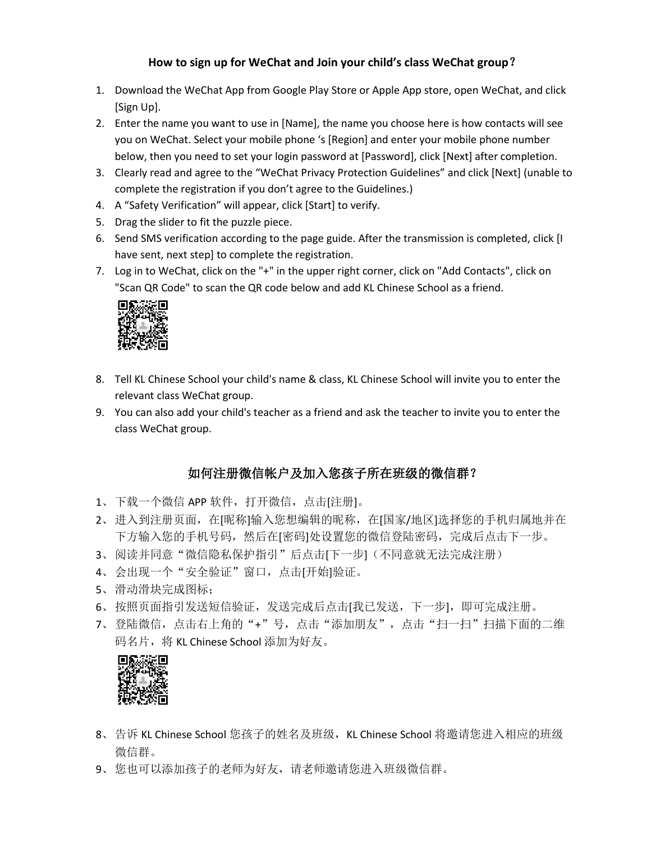### **How to sign up for WeChat and Join your child's class WeChat group**?

- 1. Download the WeChat App from Google Play Store or Apple App store, open WeChat, and click [Sign Up].
- 2. Enter the name you want to use in [Name], the name you choose here is how contacts will see you on WeChat. Select your mobile phone 's [Region] and enter your mobile phone number below, then you need to set your login password at [Password], click [Next] after completion.
- 3. Clearly read and agree to the "WeChat Privacy Protection Guidelines" and click [Next] (unable to complete the registration if you don't agree to the Guidelines.)
- 4. A "Safety Verification" will appear, click [Start] to verify.
- 5. Drag the slider to fit the puzzle piece.
- 6. Send SMS verification according to the page guide. After the transmission is completed, click [I have sent, next step] to complete the registration.
- 7. Log in to WeChat, click on the "+" in the upper right corner, click on "Add Contacts", click on "Scan QR Code" to scan the QR code below and add KL Chinese School as a friend.



- 8. Tell KL Chinese School your child's name & class, KL Chinese School will invite you to enter the relevant class WeChat group.
- 9. You can also add your child's teacher as a friend and ask the teacher to invite you to enter the class WeChat group.

### 如何注册微信帐户及加入您孩子所在班级的微信群?

- 1、下载一个微信 APP 软件, 打开微信, 点击[注册]。
- 2、进入到注册页面, 在[昵称]输入您想编辑的昵称, 在[国家/地区]选择您的手机归属地并在 下方输入您的手机号码,然后在[密码]处设置您的微信登陆密码,完成后点击下一步。
- 3、阅读并同意"微信隐私保护指引"后点击[下一步](不同意就无法完成注册)
- 4、会出现一个"安全验证"窗口,点击[开始]验证。
- 5、滑动滑块完成图标;
- 6、按照页面指引发送短信验证,发送完成后点击[我已发送,下一步],即可完成注册。
- 7、登陆微信,点击右上角的"+"号,点击"添加朋友",点击"扫一扫"扫描下面的二维 码名片,将 KL Chinese School 添加为好友。



- 8、告诉 KL Chinese School 您孩子的姓名及班级, KL Chinese School 将邀请您进入相应的班级 微信群。
- 9、您也可以添加孩子的老师为好友,请老师邀请您进入班级微信群。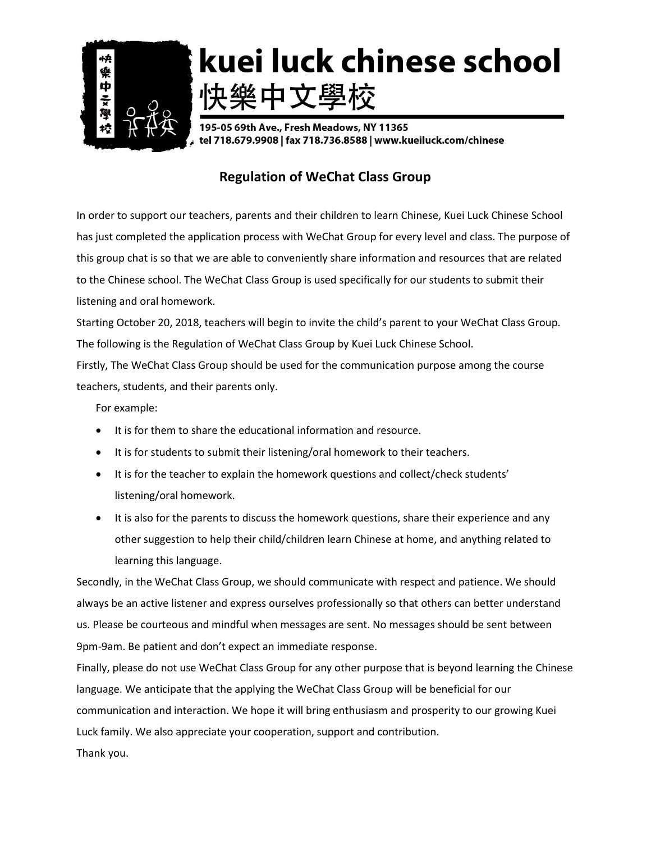

# kuei luck chinese school 快樂中文學校

195-05 69th Ave., Fresh Meadows, NY 11365 tel 718.679.9908 | fax 718.736.8588 | www.kueiluck.com/chinese

## **Regulation of WeChat Class Group**

In order to support our teachers, parents and their children to learn Chinese, Kuei Luck Chinese School has just completed the application process with WeChat Group for every level and class. The purpose of this group chat is so that we are able to conveniently share information and resources that are related to the Chinese school. The WeChat Class Group is used specifically for our students to submit their listening and oral homework.

Starting October 20, 2018, teachers will begin to invite the child's parent to your WeChat Class Group. The following is the Regulation of WeChat Class Group by Kuei Luck Chinese School.

Firstly, The WeChat Class Group should be used for the communication purpose among the course teachers, students, and their parents only.

For example:

- It is for them to share the educational information and resource.
- It is for students to submit their listening/oral homework to their teachers.
- It is for the teacher to explain the homework questions and collect/check students' listening/oral homework.
- It is also for the parents to discuss the homework questions, share their experience and any other suggestion to help their child/children learn Chinese at home, and anything related to learning this language.

Secondly, in the WeChat Class Group, we should communicate with respect and patience. We should always be an active listener and express ourselves professionally so that others can better understand us. Please be courteous and mindful when messages are sent. No messages should be sent between 9pm-9am. Be patient and don't expect an immediate response.

Finally, please do not use WeChat Class Group for any other purpose that is beyond learning the Chinese language. We anticipate that the applying the WeChat Class Group will be beneficial for our communication and interaction. We hope it will bring enthusiasm and prosperity to our growing Kuei Luck family. We also appreciate your cooperation, support and contribution. Thank you.